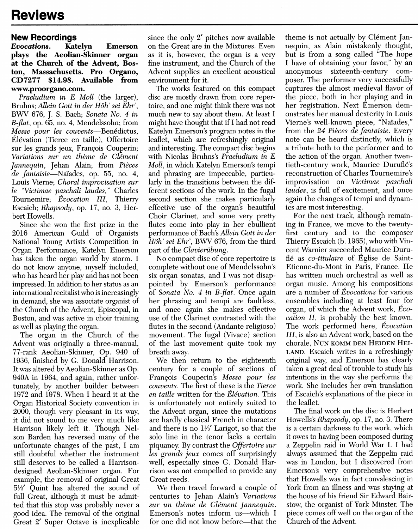## Reviews

## New Recordings

## Evocations. Katelyn Emerson plays the Aeolian-Skinner organ at the Church of the Advent, Boston, Massachusetts. Pro Organo, CD7277 \$14.98. Available from www.proorgano.com.

Praeludium in E Moll (the larger), Bruhns; Allein Gott in der Höh' sei Ehr', BWV 676, J. S. Bach; Sonata No. 4 in B-flat, op. 65, no. 4, Mendelssohn; from Messe pour les couvents—Benédictus, Elevation (Tierce en taille), Offertoire sur les grands jeux, François Couperin; Variations sur un thème de Clément Jannequin, Jehan Alain; from Pièces de fantaisie-Naïades, op. 55, no. 4, Louis Vierne; Choral improvisation sur le "Victimae paschali laudes," Charles Tournemire; Evocation III, Thierry Escaich; Rhapsody, op. 17, no. 3, Herbert Howells.

Since she won the first prize in the 2016 American Guild of Organists National Young Artists Competition in Organ Performance, Katelyn Emerson has taken the organ world by storm. I do not know anyone, myself included, who has heard her play and has not been impressed. In addition to her status as an international recitalist who is increasingly in demand, she was associate organist of the Church of the Advent, Episcopal, in Boston, and was active in choir training as well as playing the organ.

The organ in the Church of the Advent was originally a three-manual, 77-rank Aeolian-Skinner, Op. 940 of 1936, finished by G. Donald Harrison. It was altered by Aeolian-Skinner as Op. 940A in 1964, and again, rather unfortunately, by another builder between 1972 and 1978. When I heard it at the Organ Historical Society convention in 2000, though very pleasant in its way, it did not sound to me very much like Harrison likely left it. Though Nelson Barden has reversed many of the unfortunate changes of the past, I am still doubtful whether the instrument still deserves to be called a Harrisondesigned Aeolian-Skinner organ. For example, the removal of original Great 5'/3' Quint has altered the sound of full Great, although it must be admitted that this stop was probably never a good idea. The removal of the original Great 2' Super Octave is inexplicable since the only 2' pitches now available on the Great are in the Mixtures. Even as it is, however, the organ is a very fine instrument, and the Church of the Advent supplies an excellent acoustical environment for it.

The works featured on this compact disc are mostly drawn from core repertoire, and one might think there was not much new to say about them. At least I might have thought that if I had not read Katelyn Emerson's program notes in the leaflet, which are refreshingly original and interesting. The compact disc begins with Nicolas Bruhns's Praeludium in E Moll, in which Katelyn Emerson's tempi and phrasing are impeccable, particularly in the transitions between the different sections of the work. In the fugal second section she makes particularly effective use of the organ's beautiful Choir Clarinet, and some very pretty flutes come into play in her ebullient performance of Bach's Allein Gott in der Höh' sei Ehr'. BWV 676, from the third part of the Clavierübung.

No compact disc of core repertoire is complete without one of Mendelssohn's six organ sonatas, and I was not disappointed by Emerson's performance of Sonata No. 4 in B-flat. Once again her phrasing and tempi are faultless, and once again she makes effective use of the Clarinet contrasted with the flutes in the second (Andante religioso) movement. The fugal (Vivace) section of the last movement quite took my breath away.

We then return to the eighteenth century for a couple of sections of François Couperin's Messe pour les couvents. The first of these is the Tierce en taille written for the Elévation. This is unfortunately not entirely suited to the Advent organ, since the mutations are hardly classical French in character and there is no 1/3' Larigot, so that the solo line in the tenor lacks a certain piquancy. By contrast the Offertoire sur les grands jeux comes off surprisingly well, especially since G. Donald Harrison was not compelled to provide any Great reeds.

We then travel forward a couple of centuries to jehan Alain's Variations sur un thème de Clément Jannequin. Emerson's notes inform us—which I for one did not know before-that the theme is not actually by Clément Jannequin, as Alain mistakenly thought, but is from a song called "The hope I have of obtaining your favor," by an anonymous sixteenth-century composer. The performer very successfully captures the almost medieval flavor of the piece, both in her playing and in her registration. Next Emerson demonstrates her manual dexterity in Louis Vierne's well-known piece, "Naïades," from the 24 Pièces de fantaisie. Every note can be heard distinctly, which is a tribute both to the performer and to the action of the organ. Another twentieth-century work, Maurice Duruflé's reconstruction of Charles Tournemire's improvisation on Victimae paschali laudes, is full of excitement, and once again the changes of tempi and dynamics are most interesting.

For the next track, although remaining in France, we move to the twentyfirst century and to the composer Thierry Escaich (b. 1965), who with Vincent Warnier succeeded Maurice Duruflé as *co-titulaire* of Église de Saint-Etienne-du-Mont in Paris, France. He has written much orchestral as well as organ music. Among his compositions are a number of Evocations for various ensembles including at least four for organ, of which the Advent work, Evocation II, is probably the best known. The work performed here, Evocation III, is also an Advent work, based on the chorale, NUN KOMM DEN HEIDEN HEI LAND. Escaich writes in a refreshingly original way, and Emerson has clearly taken a great deal of trouble to study his intentions in the way she performs the work. She includes her own translation of Escaich's explanations of the piece in the leaflet.

The final work on the disc is Herbert Howells's Rhapsody, op. 17, no. 3. There is a certain darkness to the work, which it owes to having been composed during a Zeppelin raid in World War I. I had always assumed that the Zeppelin raid was in London, but I discovered from Emerson's very comprehensive notes that Howells was in fact convalescing in York from an illness and was staying at the house of his friend Sir Edward Bair stow, the organist of York Minster. The piece comes off well on the organ of the Church of the Advent.